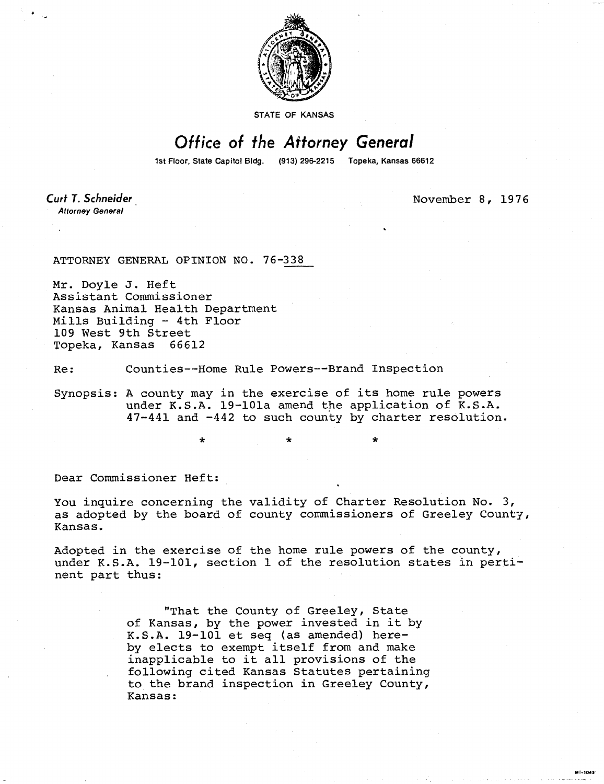

STATE OF KANSAS

## Office of the Attorney General

1st Floor, State Capitol Bldg. (913) 296-2215 Topeka, Kansas 66612

Curt T. Schneider **Attorney General** 

November 8, 1976

MI-1043

ATTORNEY GENERAL OPINION NO. 76-338

 $\star$ 

Mr. Doyle J. Heft Assistant Commissioner Kansas Animal Health Department Mills Building - 4th Floor 109 West 9th Street Topeka, Kansas 66612

Re: Counties--Home Rule Powers--Brand Inspection

Synopsis: A county may in the exercise of its home rule powers under K.S.A. 19-101a amend the application of K.S.A. 47-441 and -442 to such county by charter resolution.

Dear Commissioner Heft:

You inquire concerning the validity of Charter Resolution No. 3, as adopted by the board of county commissioners of Greeley County, Kansas.

Adopted in the exercise of the home rule powers of the county, under K.S.A. 19-101, section 1 of the resolution states in pertinent part thus:

> "That the County of Greeley, State of Kansas, by the power invested in it by K.S.A. 19-101 et seq (as amended) hereby elects to exempt itself from and make inapplicable to it all provisions of the following cited Kansas Statutes pertaining to the brand inspection in Greeley County, Kansas: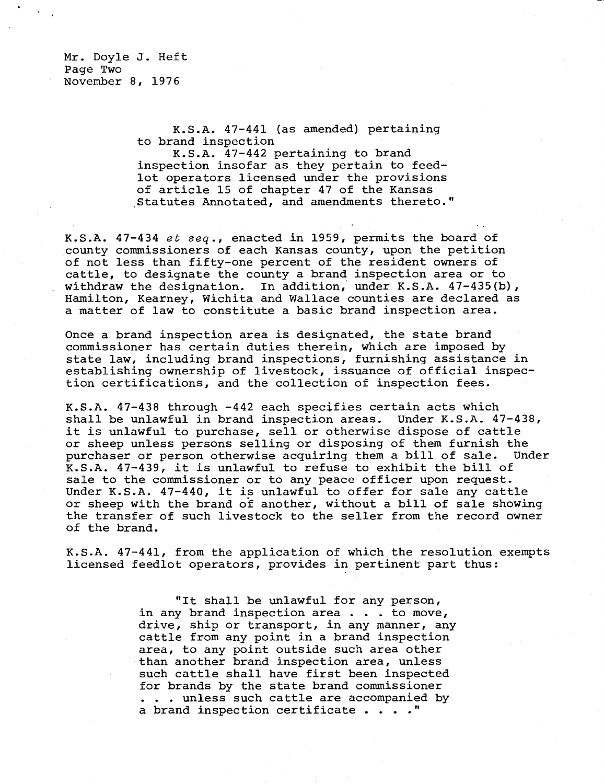Mr. Doyle J. Heft Page Two November 8, 1976

> K.S.A. 47-441 (as amended) pertaining to brand inspection

K.S.A. 47-442 pertaining to brand inspection insofar as they pertain to feedlot operators licensed under the provisions of article 15 of chapter 47 of the Kansas ,Statutes Annotated, and amendments thereto."

K.S.A. 47-434 et seq., enacted in 1959, permits the board of county commissioners of each Kansas county, upon the petition of not less than fifty-one percent of the resident owners of cattle, to designate the county a brand inspection area or to withdraw the designation. In addition, under K.S.A.  $47-435(b)$ , Hamilton, Kearney, Wichita and Wallace counties are declared as a matter of law to constitute a basic brand inspection area.

Once a brand inspection area is designated, the state brand commissioner has certain duties therein, which are imposed by state law, including brand inspections, furnishing assistance in establishing ownership of livestock, issuance of official inspection certifications, and the collection of inspection fees.

K.S.A. 47-438 through -442 each specifies certain acts which shall be unlawful in brand inspection areas. Under K.S.A. 47-438, it is unlawful to purchase, sell or otherwise dispose of cattle or sheep unless persons selling or disposing of them furnish the purchaser or person otherwise acquiring them a bill of sale. Under K.S.A. 47-439, it is unlawful to refuse to exhibit the bill of sale to the commissioner or to any peace officer upon request. Under K.S.A. 47-440, it is unlawful to offer for sale any cattle or sheep with the brand of another, without a bill of sale showing the transfer of such livestock to the seller from the record owner of the brand.

K.S.A. 47-441, from the application of which the resolution exempts licensed feedlot operators, provides in pertinent part thus:

> "It shall be unlawful for any person, in any brand inspection area . . . to move, drive, ship or transport, in any manner, any cattle from any point in a brand inspection area, to any point outside such area other than another brand inspection area, unless such cattle shall have first been inspected for brands by the state brand commissioner . . . unless such cattle are accompanied by a brand inspection certificate . . . ."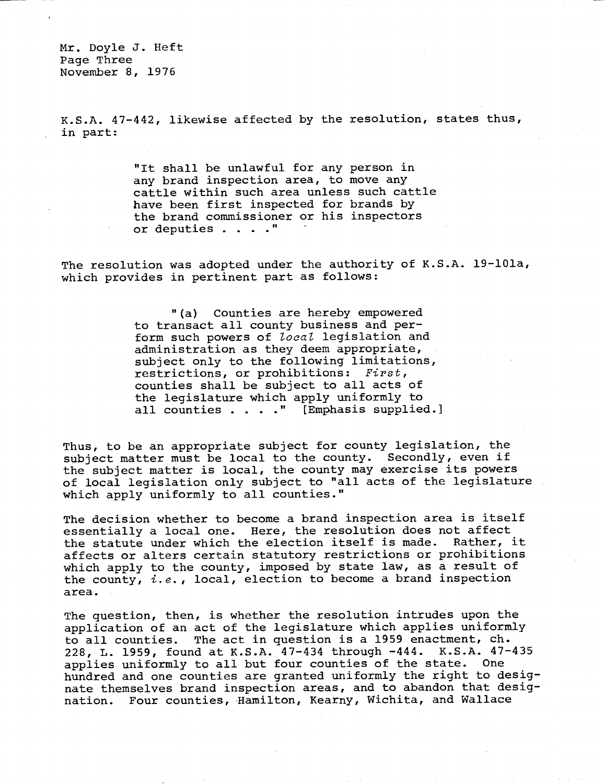Mr. Doyle J. Heft Page Three November 8, 1976

K.S.A. 47-442, likewise affected by the resolution, states thus, in part:

> "It shall be unlawful for any person in any brand inspection area, to move any cattle within such area unless such cattle have been first inspected for brands by the brand commissioner or his inspectors or deputies . . . ."

The resolution was adopted under the authority of K.S.A. 19-101a, which provides in pertinent part as follows:

> "(a) Counties are hereby empowered to transact all county business and perform such powers of local legislation and administration as they deem appropriate, subject only to the following limitations, restrictions, or prohibitions: First, counties shall be subject to all acts of the legislature which apply uniformly to all counties . . . . " [Emphasis supplied.]

Thus, to be an appropriate subject for county legislation, the subject matter must be local to the county. Secondly, even if the subject matter is local, the county may exercise its powers of local legislation only subject to "all acts of the legislature which apply uniformly to all counties."

The decision whether to become a brand inspection area is itself essentially a local one. Here, the resolution does not affect the statute under which the election itself is made. Rather, it affects or alters certain statutory restrictions or prohibitions which apply to the county, imposed by state law, as a result of the county,  $i.e.$ , local, election to become a brand inspection area.

The question, then, is whether the resolution intrudes upon the application of an act of the legislature which applies uniformly to all counties. The act in question is a 1959 enactment, ch. 228, L. 1959, found at K.S.A. 47-434 through -444. K.S.A. 47-435 applies uniformly to all but four counties of the state. One hundred and one counties are granted uniformly the right to designate themselves brand inspection areas, and to abandon that designation. Four counties, Hamilton, Kearny, Wichita, and Wallace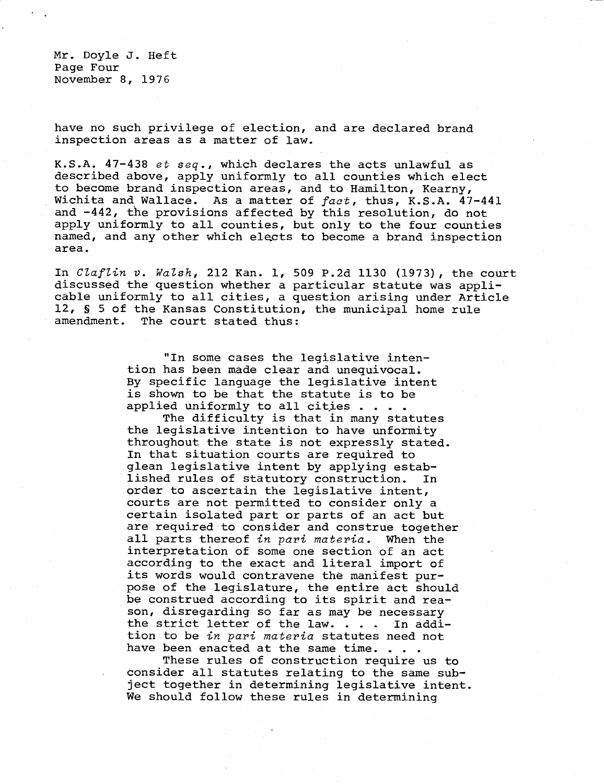Mr. Doyle J. Heft Page Four November 8, 1976

have no such privilege of election, and are declared brand inspection areas as a matter of law.

K.S.A. 47-438 et seq., which declares the acts unlawful as described above, apply uniformly to all counties which elect to become brand inspection areas, and to Hamilton, Kearny, Wichita and Wallace. As a matter of fact, thus, K.S.A. 47-441 and -442, the provisions affected by this resolution, do not apply uniformly to all counties, but only to the four counties named, and any other which elects to become a brand inspection area.

In Claflin v. Walsh, 212 Kan. 1, 509 P.2d 1130 (1973), the court discussed the question whether a particular statute was applicable uniformly to all cities, a question arising under Article 12, § 5 of the Kansas Constitution, the municipal home rule amendment. The court stated thus:

> "In some cases the legislative intention has been made clear and unequivocal. By specific language the legislative intent is shown to be that the statute is to be applied uniformly to all cities . . . .

The difficulty is that in many statutes the legislative intention to have unformity throughout the state is not expressly stated. In that situation courts are required to glean legislative intent by applying established rules of statutory construction. In order to ascertain the legislative intent, courts are not permitted to consider only a certain isolated part or parts of an act but are required to consider and construe together all parts thereof in pari materia. When the interpretation of some one section of an act according to the exact and literal import of its words would contravene the manifest purpose of the legislature, the entire act should be construed according to its spirit and reason, disregarding so far as may be necessary the strict letter of the law. . . . In addition to be in pari materia statutes need not have been enacted at the same time. . . .

These rules of construction require us to consider all statutes relating to the same subject together in determining legislative intent. We should follow these rules in determining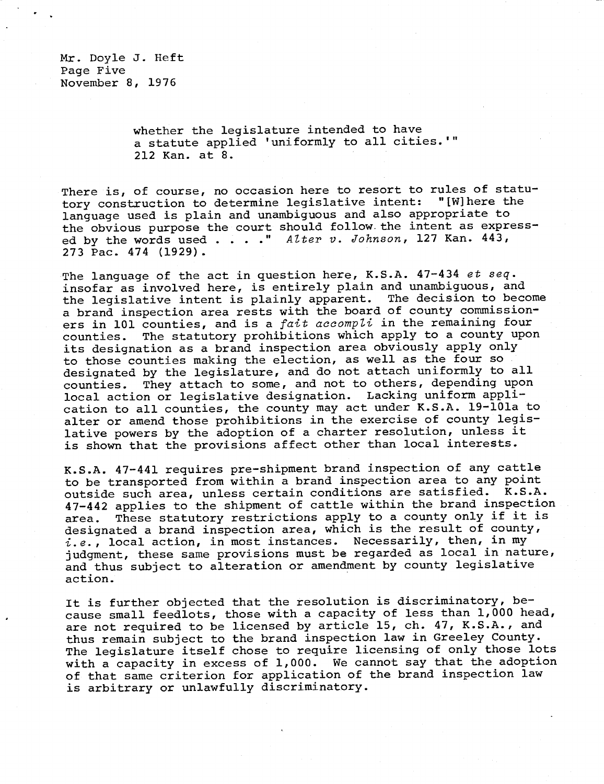whether the legislature intended to have a statute applied 'uniformly to all cities.'" 212 Kan. at 8.

There is, of course, no occasion here to resort to rules of statutory construction to determine legislative intent: "[W]here the language used is plain and unambiguous and also appropriate to the obvious purpose the court should follow. the intent as expressed by the words used  $\ldots$  ." Alter v. Johnson, 127 Kan. 443, 273 Pac. 474 (1929).

The language of the act in question here, K.S.A. 47-434 et seq. insofar as involved here, is entirely plain and unambiguous, and the legislative intent is plainly apparent. The decision to become a brand inspection area rests with the board of county commissioners in 101 counties, and is a fait accompli in the remaining four counties. The statutory prohibitions which apply to a county upon its designation as a brand inspection area obviously apply only to those counties making the election, as well as the four so designated by the legislature, and do not attach uniformly to all counties. They attach to some, and not to others, depending upon local action or legislative designation. Lacking uniform application to all counties, the county may act under K.S.A. 19-101a to alter or amend those prohibitions in the exercise of county legislative powers by the adoption of a charter resolution, unless it is shown that the provisions affect other than local interests.

K.S.A. 47-441 requires pre-shipment brand inspection of any cattle to be transported from within a brand inspection area to any point outside such area, unless certain conditions are satisfied. K.S.A. 47-442 applies to the shipment of cattle within the brand inspection area. These statutory restrictions apply to a county only if it is designated a brand inspection area, which is the result of county,  $i.e.,$  local action, in most instances. Necessarily, then, in my judgment, these same provisions must be regarded as local in nature, and thus subject to alteration or amendment by county legislative action.

It is further objected that the resolution is discriminatory, because small feedlots, those with a capacity of less than 1,000 head, are not required to be licensed by article 15, ch. 47, K.S.A., and thus remain subject to the brand inspection law in Greeley County. The legislature itself chose to require licensing of only those lots with a capacity in excess of 1,000. We cannot say that the adoption of that same criterion for application of the brand inspection law is arbitrary or unlawfully discriminatory.